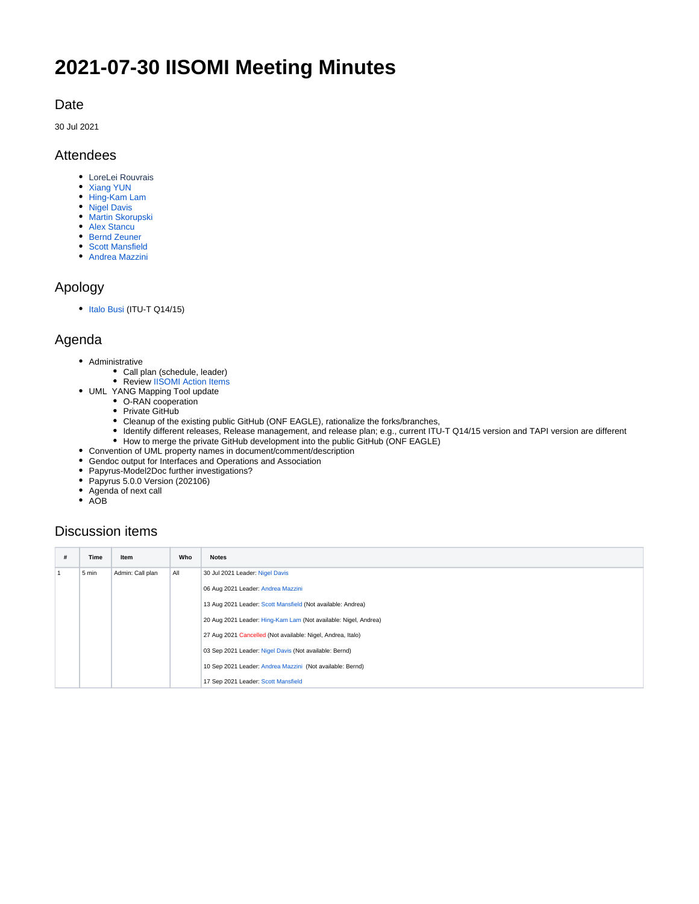# <span id="page-0-0"></span>**2021-07-30 IISOMI Meeting Minutes**

## Date

30 Jul 2021

#### Attendees

- LoreLei Rouvrais
- [Xiang YUN](https://wiki.opennetworking.org/display/~yunxiang)
- [Hing-Kam Lam](https://wiki.opennetworking.org/display/~hingkam.lam)
- [Nigel Davis](https://wiki.opennetworking.org/display/~ndavis@ciena.com) **• [Martin Skorupski](https://wiki.opennetworking.org/display/~demx8as6)**
- [Alex Stancu](https://wiki.opennetworking.org/display/~alexandrus)
- [Bernd Zeuner](https://wiki.opennetworking.org/display/~b.zeuner@telekom.de)
- [Scott Mansfield](https://wiki.opennetworking.org/display/~scott.mansfield)
- [Andrea Mazzini](https://wiki.opennetworking.org/display/~mazzini64)

## Apology

• [Italo Busi](https://wiki.opennetworking.org/display/~ibusi) (ITU-T Q14/15)

## Agenda

- Administrative
	- Call plan (schedule, leader)
	- Review [IISOMI Action Items](https://urldefense.com/v3/__https:/wiki.opennetworking.org/display/OIMT/IISOMI*Action*Items__;Kys!!OSsGDw!bPcuD8T61uZXjZHWBR2z2rReR13F5Gi30NncSztOJ1pvbP-FXpzy-7LbFNHN$)
- UML YANG Mapping Tool update
	- O-RAN cooperation
	- Private GitHub
	- Cleanup of the existing public GitHub (ONF EAGLE), rationalize the forks/branches,
	- Identify different releases, Release management, and release plan; e.g., current ITU-T Q14/15 version and TAPI version are different
	- How to merge the private GitHub development into the public GitHub (ONF EAGLE)
- Convention of UML property names in document/comment/description
- Gendoc output for Interfaces and Operations and Association
- Papyrus-Model2Doc further investigations?
- Papyrus 5.0.0 Version (202106)
- Agenda of next call
- AOB

## Discussion items

| # | Time  | Item             | Who | <b>Notes</b>                                                    |
|---|-------|------------------|-----|-----------------------------------------------------------------|
|   | 5 min | Admin: Call plan | All | 30 Jul 2021 Leader: Nigel Davis                                 |
|   |       |                  |     | 06 Aug 2021 Leader: Andrea Mazzini                              |
|   |       |                  |     | 13 Aug 2021 Leader: Scott Mansfield (Not available: Andrea)     |
|   |       |                  |     | 20 Aug 2021 Leader: Hing-Kam Lam (Not available: Nigel, Andrea) |
|   |       |                  |     | 27 Aug 2021 Cancelled (Not available: Nigel, Andrea, Italo)     |
|   |       |                  |     | 03 Sep 2021 Leader: Nigel Davis (Not available: Bernd)          |
|   |       |                  |     | 10 Sep 2021 Leader: Andrea Mazzini (Not available: Bernd)       |
|   |       |                  |     | 17 Sep 2021 Leader: Scott Mansfield                             |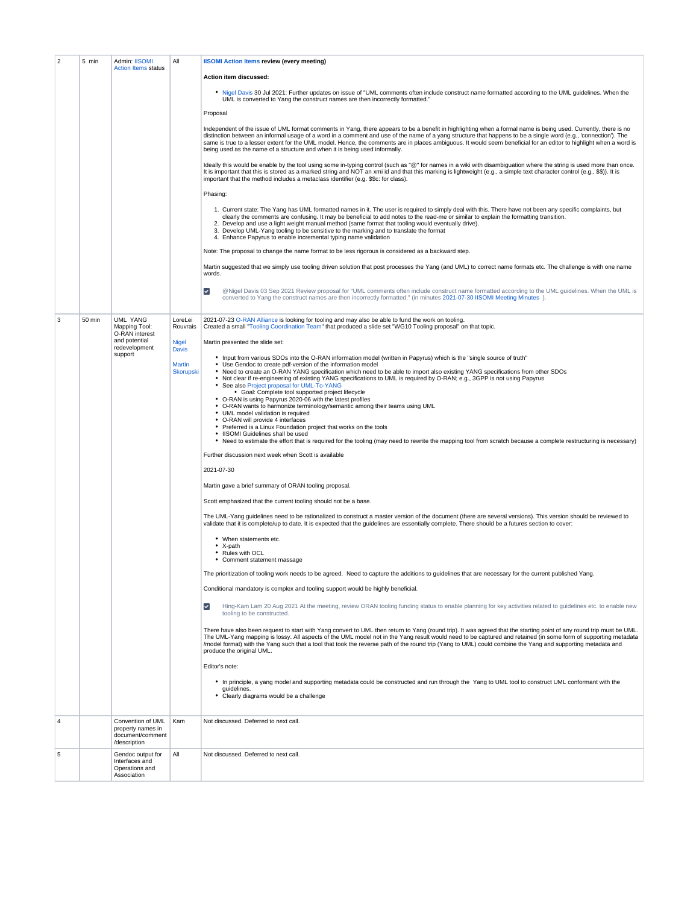| $\overline{2}$ | 5 min  | Admin: IISOMI<br><b>Action Items status</b>                                | All                               | <b>IISOMI Action Items review (every meeting)</b>                                                                                                                                                                                                                                                                                                                                                                                                                                                                                                                                                                                                                                                  |
|----------------|--------|----------------------------------------------------------------------------|-----------------------------------|----------------------------------------------------------------------------------------------------------------------------------------------------------------------------------------------------------------------------------------------------------------------------------------------------------------------------------------------------------------------------------------------------------------------------------------------------------------------------------------------------------------------------------------------------------------------------------------------------------------------------------------------------------------------------------------------------|
|                |        |                                                                            |                                   | Action item discussed:                                                                                                                                                                                                                                                                                                                                                                                                                                                                                                                                                                                                                                                                             |
|                |        |                                                                            |                                   | . Nigel Davis 30 Jul 2021: Further updates on issue of "UML comments often include construct name formatted according to the UML guidelines. When the<br>UML is converted to Yang the construct names are then incorrectly formatted."                                                                                                                                                                                                                                                                                                                                                                                                                                                             |
|                |        |                                                                            |                                   | Proposal                                                                                                                                                                                                                                                                                                                                                                                                                                                                                                                                                                                                                                                                                           |
|                |        |                                                                            |                                   | Independent of the issue of UML format comments in Yang, there appears to be a benefit in highlighting when a formal name is being used. Currently, there is no<br>distinction between an informal usage of a word in a comment and use of the name of a yang structure that happens to be a single word (e.g., 'connection'). The<br>same is true to a lesser extent for the UML model. Hence, the comments are in places ambiguous. It would seem beneficial for an editor to highlight when a word is<br>being used as the name of a structure and when it is being used informally.                                                                                                            |
|                |        |                                                                            |                                   | Ideally this would be enable by the tool using some in-typing control (such as "@" for names in a wiki with disambiguation where the string is used more than once.<br>It is important that this is stored as a marked string and NOT an xmi id and that this marking is lightweight (e.g., a simple text character control (e.g., \$\$)). It is<br>important that the method includes a metaclass identifier (e.g. \$\$c: for class).                                                                                                                                                                                                                                                             |
|                |        |                                                                            |                                   | Phasing:                                                                                                                                                                                                                                                                                                                                                                                                                                                                                                                                                                                                                                                                                           |
|                |        |                                                                            |                                   | 1. Current state: The Yang has UML formatted names in it. The user is required to simply deal with this. There have not been any specific complaints, but<br>clearly the comments are confusing. It may be beneficial to add notes to the read-me or similar to explain the formatting transition.<br>2. Develop and use a light weight manual method (same format that tooling would eventually drive).<br>3. Develop UML-Yang tooling to be sensitive to the marking and to translate the format<br>4. Enhance Papyrus to enable incremental typing name validation                                                                                                                              |
|                |        |                                                                            |                                   | Note: The proposal to change the name format to be less rigorous is considered as a backward step.                                                                                                                                                                                                                                                                                                                                                                                                                                                                                                                                                                                                 |
|                |        |                                                                            |                                   | Martin suggested that we simply use tooling driven solution that post processes the Yang (and UML) to correct name formats etc. The challenge is with one name<br>words.                                                                                                                                                                                                                                                                                                                                                                                                                                                                                                                           |
|                |        |                                                                            |                                   | $\blacktriangledown$<br>@Nigel Davis 03 Sep 2021 Review proposal for "UML comments often include construct name formatted according to the UML guidelines. When the UML is<br>converted to Yang the construct names are then incorrectly formatted." (in minutes 2021-07-30 IISOMI Meeting Minutes).                                                                                                                                                                                                                                                                                                                                                                                               |
| 3              | 50 min | <b>UML YANG</b><br>Mapping Tool:<br>O-RAN interest                         | LoreLei<br>Rouvrais               | 2021-07-23 O-RAN Alliance is looking for tooling and may also be able to fund the work on tooling.<br>Created a small "Tooling Coordination Team" that produced a slide set "WG10 Tooling proposal" on that topic.                                                                                                                                                                                                                                                                                                                                                                                                                                                                                 |
|                |        | and potential<br>redevelopment                                             | <b>Nigel</b><br><b>Davis</b>      | Martin presented the slide set:                                                                                                                                                                                                                                                                                                                                                                                                                                                                                                                                                                                                                                                                    |
|                |        | support                                                                    | <b>Martin</b><br><b>Skorupski</b> | • Input from various SDOs into the O-RAN information model (written in Papyrus) which is the "single source of truth"<br>• Use Gendoc to create pdf-version of the information model<br>. Need to create an O-RAN YANG specification which need to be able to import also existing YANG specifications from other SDOs<br>• Not clear if re-engineering of existing YANG specifications to UML is required by O-RAN; e.g., 3GPP is not using Papyrus<br>See also Project proposal for UML-To-YANG<br>· Goal: Complete tool supported project lifecycle<br>• O-RAN is using Papyrus 2020-06 with the latest profiles<br>• O-RAN wants to harmonize terminology/semantic among their teams using UML |
|                |        |                                                                            |                                   | • UML model validation is required<br>• O-RAN will provide 4 interfaces<br>• Preferred is a Linux Foundation project that works on the tools<br>. IISOMI Guidelines shall be used<br>• Need to estimate the effort that is required for the tooling (may need to rewrite the mapping tool from scratch because a complete restructuring is necessary)                                                                                                                                                                                                                                                                                                                                              |
|                |        |                                                                            |                                   | Further discussion next week when Scott is available                                                                                                                                                                                                                                                                                                                                                                                                                                                                                                                                                                                                                                               |
|                |        |                                                                            |                                   | 2021-07-30                                                                                                                                                                                                                                                                                                                                                                                                                                                                                                                                                                                                                                                                                         |
|                |        |                                                                            |                                   | Martin gave a brief summary of ORAN tooling proposal.                                                                                                                                                                                                                                                                                                                                                                                                                                                                                                                                                                                                                                              |
|                |        |                                                                            |                                   | Scott emphasized that the current tooling should not be a base.                                                                                                                                                                                                                                                                                                                                                                                                                                                                                                                                                                                                                                    |
|                |        |                                                                            |                                   | The UML-Yang guidelines need to be rationalized to construct a master version of the document (there are several versions). This version should be reviewed to<br>validate that it is complete/up to date. It is expected that the guidelines are essentially complete. There should be a futures section to cover:                                                                                                                                                                                                                                                                                                                                                                                |
|                |        |                                                                            |                                   | • When statements etc.<br>$\bullet$ X-path<br>Rules with OCL                                                                                                                                                                                                                                                                                                                                                                                                                                                                                                                                                                                                                                       |
|                |        |                                                                            |                                   | • Comment statement massage                                                                                                                                                                                                                                                                                                                                                                                                                                                                                                                                                                                                                                                                        |
|                |        |                                                                            |                                   | The prioritization of tooling work needs to be agreed. Need to capture the additions to guidelines that are necessary for the current published Yang.<br>Conditional mandatory is complex and tooling support would be highly beneficial.                                                                                                                                                                                                                                                                                                                                                                                                                                                          |
|                |        |                                                                            |                                   | Hing-Kam Lam 20 Aug 2021 At the meeting, review ORAN tooling funding status to enable planning for key activities related to guidelines etc. to enable new<br>$\blacktriangledown$<br>tooling to be constructed.                                                                                                                                                                                                                                                                                                                                                                                                                                                                                   |
|                |        |                                                                            |                                   | There have also been request to start with Yang convert to UML then return to Yang (round trip). It was agreed that the starting point of any round trip must be UML.<br>The UML-Yang mapping is lossy. All aspects of the UML model not in the Yang result would need to be captured and retained (in some form of supporting metadata<br>/model format) with the Yang such that a tool that took the reverse path of the round trip (Yang to UML) could combine the Yang and supporting metadata and<br>produce the original UML.                                                                                                                                                                |
|                |        |                                                                            |                                   | Editor's note:                                                                                                                                                                                                                                                                                                                                                                                                                                                                                                                                                                                                                                                                                     |
|                |        |                                                                            |                                   | • In principle, a yang model and supporting metadata could be constructed and run through the Yang to UML tool to construct UML conformant with the<br>quidelines.<br>Clearly diagrams would be a challenge                                                                                                                                                                                                                                                                                                                                                                                                                                                                                        |
|                |        |                                                                            |                                   |                                                                                                                                                                                                                                                                                                                                                                                                                                                                                                                                                                                                                                                                                                    |
| 4              |        | Convention of UML<br>property names in<br>document/comment<br>/description | Kam                               | Not discussed. Deferred to next call.                                                                                                                                                                                                                                                                                                                                                                                                                                                                                                                                                                                                                                                              |
| 5              |        | Gendoc output for<br>Interfaces and<br>Operations and<br>Association       | All                               | Not discussed. Deferred to next call.                                                                                                                                                                                                                                                                                                                                                                                                                                                                                                                                                                                                                                                              |
|                |        |                                                                            |                                   |                                                                                                                                                                                                                                                                                                                                                                                                                                                                                                                                                                                                                                                                                                    |